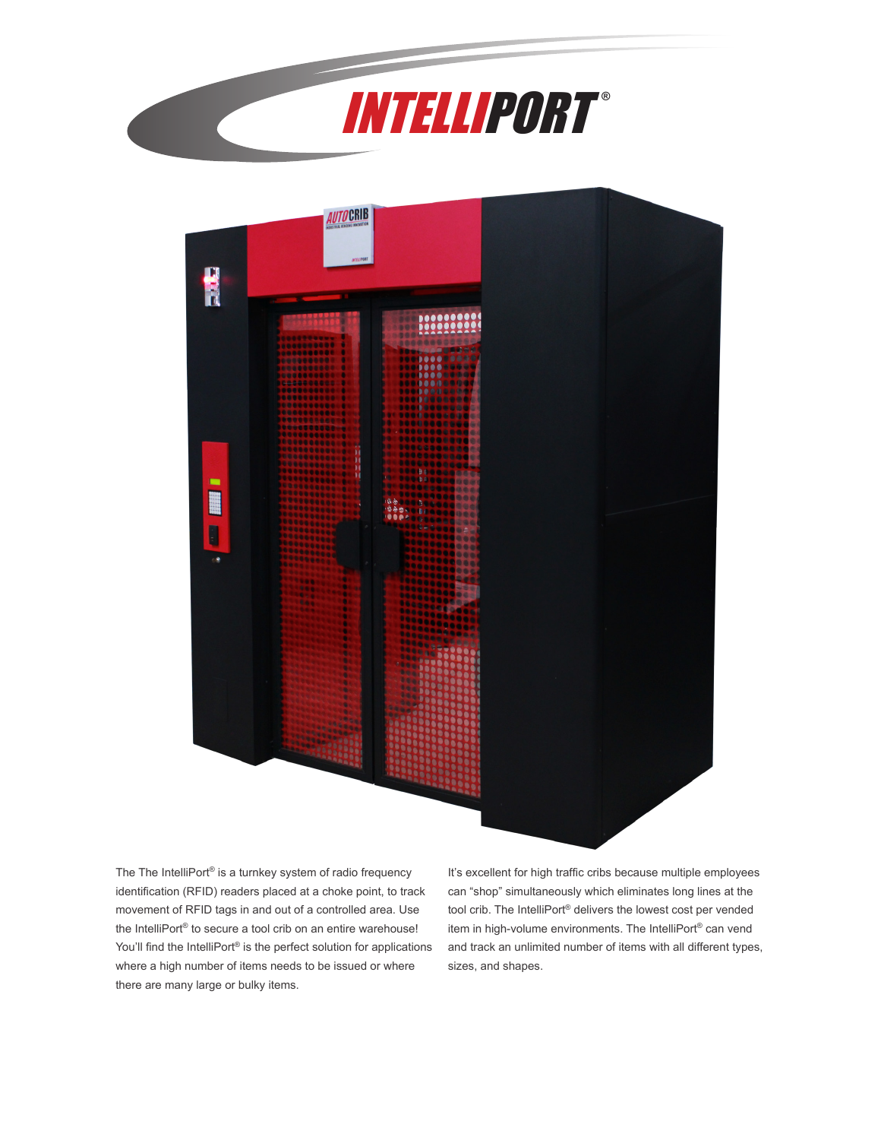



The The IntelliPort® is a turnkey system of radio frequency identification (RFID) readers placed at a choke point, to track movement of RFID tags in and out of a controlled area. Use the IntelliPort® to secure a tool crib on an entire warehouse! You'll find the IntelliPort<sup>®</sup> is the perfect solution for applications where a high number of items needs to be issued or where there are many large or bulky items.

It's excellent for high traffic cribs because multiple employees can "shop" simultaneously which eliminates long lines at the tool crib. The IntelliPort® delivers the lowest cost per vended item in high-volume environments. The IntelliPort® can vend and track an unlimited number of items with all different types, sizes, and shapes.